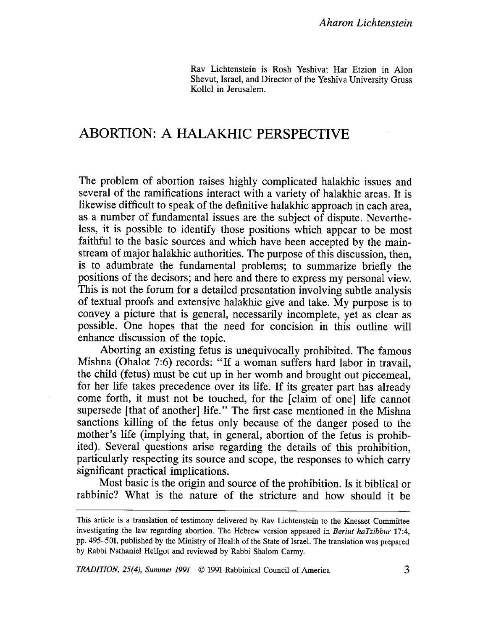Rav Lichtenstein is Rosh Yeshivat Har Etzion in Alan Shevut, Israel, and Director of the Yeshiva University Gruss Kollel in Jerusalem.

## ABORTION: A HALAKHIC PERSPECTIVE

The problem of abortion raises highly complicated halakhic issues and several of the ramifications interact with a variety of halakhic areas. It is likewise diffcult to speak of the definitive halakhic approach in each area, as a number of fundamental issues are the subject of dispute. Nevertheless, it is possible to identify those positions which appear to be most faithful to the basic sources and which have been accepted by the mainstream of major halakhic authorities. The purpose of this discussion, then, is to adumbrate the fundamental problems; to summarize briefly the positions of the decisors; and here and there to express my personal view. This is not the forum for a detailed presentation involving subtle analysis of textual proofs and extensive halakhic give and take. My purpose is to convey a picture that is general, necessarily incomplete, yet as clear as possible. One hopes that the need for concision in this outline wil enhance discussion of the topic.

Aborting an existing fetus is unequivocally prohibited. The famous Mishna (Ohalot 7:6) records: "If a woman suffers hard labor in travail, the child (fetus) must be cut up in her womb and brought out piecemeal, for her life takes precedence over its life. If its greater part has already come forth, it must not be touched, for the (claim of one) life cannot supersede (that of another) life." The first case mentioned in the Mishna sanctions killing of the fetus only because of the danger posed to the mother's life (implying that, in general, abortion of the fetus is prohibited). Several questions arise regarding the details of this prohibition, particularly respecting its source and scope, the responses to which carry significant practical implications.

Most basic is the origin and source of the prohibition. Is it biblical or rabbinic? What is the nature of the stricture and how should it be

This article is a translation of testimony delivered by Rav Lichtenstein to the Knesset Committee investigating the law regarding abortion. The Hebrew version appeared in Beriut haTzibbur 17:4, pp. 495-501, published by the Ministry of Health of the State of IsraeL. The translation was prepared by Rabbi Nathaniel Helfgot and reviewed by Rabbi Shalom Carmy.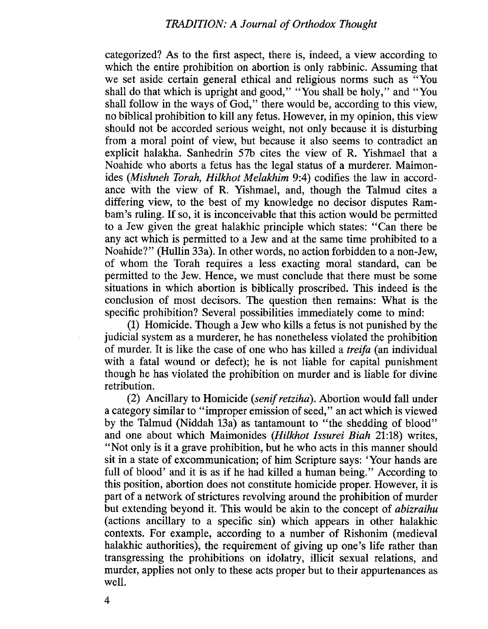categorized? As to the first aspect, there is, indeed, a view according to which the entire prohibition on abortion is only rabbinic. Assuming that we set aside certain general ethical and religious norms such as "You shall do that which is upright and good," "You shall be holy," and "You shall follow in the ways of God," there would be, according to this view, no biblical prohibition to kill any fetus. However, in my opinion, this view should not be accorded serious weight, not only because it is disturbing from a moral point of view, but because it also seems to contradict an explicit halakha. Sanhedrin 57b cites the view of R. Yishmael that a Noahide who aborts a fetus has the legal status of a murderer. Maimonides (Mishneh Torah, Hilkhot Melakhim 9:4) codifies the law in accordance with the view of R. Yishmael, and, though the Talmud cites a differing view, to the best of my knowledge no decisor disputes Rambam's ruling. If so, it is inconceivable that this action would be permitted to a Jew given the great halakhic principle which states: "Can there be any act which is permitted to a Jew and at the same time prohibited to a Noahide?" (Hullin 33a). In other words, no action forbidden to a non-Jew, of whom the Torah requires a less exacting moral standard, can be permitted to the Jew. Hence, we must conclude that there must be some situations in which abortion is biblically proscribed. This indeed is the conclusion of most decisors. The question then remains: What is the specific prohibition? Several possibilities immediately come to mind:

(1) Homicide. Though a Jew who kills a fetus is not punished by the judicial system as a murderer, he has nonetheless violated the prohibition of murder. It is like the case of one who has killed a treifa (an individual with a fatal wound or defect); he is not liable for capital punishment though he has violated the prohibition on murder and is liable for divine retribution.

(2) Ancillary to Homicide (senif retziha). Abortion would fall under a category similar to "improper emission of seed," an act which is viewed by the Talmud (Niddah 13a) as tantamount to "the shedding of blood" and one about which Maimonides (Hilkhot Issurei Biah 21:18) writes, "Not only is it a grave prohibition, but he who acts in this manner should sit in a state of excommunication; of him Sctipture says: 'Your hands are full of blood' and it is as if he had killed a human being." According to this position, abortion does not constitute homicide proper. However, it is part of a network of strictures revolving around the prohibition of murder but extending beyond it. This would be akin to the concept of abizraihu (actions ancillary to a specific sin) which appears in other halakhic contexts. For example, according to a number of Rishonim (medieval halakhic authorities), the requirement of giving up one's life rather than transgressing the prohibitions on idolatry, illicit sexual relations, and murder, applies not only to these acts proper but to their appurtenances as well.

4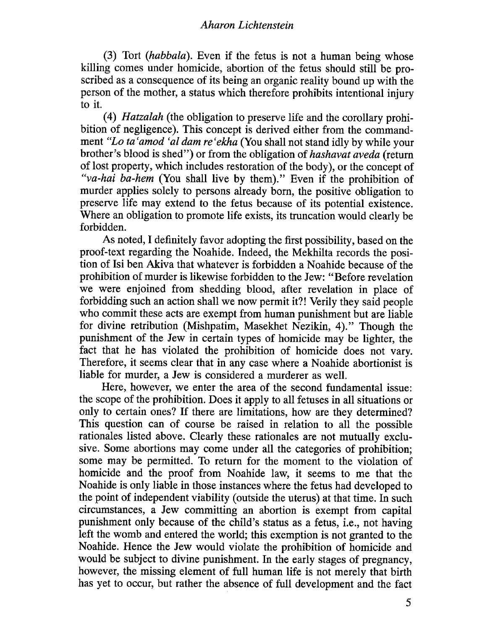## Aharon Lichtenstein

(3) Tort (habbala). Even if the fetus is not a human being whose killing comes under homicide, abortion of the fetus should still be proscribed as a consequence of its being an organic reality bound up with the person of the mother, a status which therefore prohibits intentional injury to it.

(4) Hatzalah (the obligation to preserve life and the corollary prohibition of negligence). This concept is derived either from the commandment "Lo ta'amod 'al dam re'ekha (You shall not stand idly by while your brother's blood is shed") or from the obligation of hashavat aveda (return of lost property, which includes restoration of the body), or the concept of "va-hai ba-hem (You shall live by them)." Even if the prohibition of murder applies solely to persons already born, the positive obligation to preserve life may extend to the fetus because of its potential existence. Where an obligation to promote life exists, its truncation would clearly be forbidden.

As noted, I definitely favor adopting the first possibility, based on the proof-text regarding the Noahide. Indeed, the Mekhilta records the position of Isi ben Akiva that whatever is forbidden a Noahide because of the prohibition of murder is likewise forbidden to the Jew: "Before revelation we were enjoined from shedding blood, after revelation in place of forbidding such an action shall we now permit it?! Verily they said people who commit these acts are exempt from human punishment but are liable for divine retribution (Mishpatim, Masekhet Nezikin, 4)." Though the punishment of the Jew in certain types of homicide may be lighter, the fact that he has violated the prohibition of homicide does not vary. Therefore, it seems clear that in any case where a Noahide abortionist is liable for murder, a Jew is considered a murderer as well.

Here, however, we enter the area of the second fundamental issue: the scope of the prohibition. Does it apply to all fetuses in all situations or only to certain ones? If there are limitations, how are they determined? This question can of course be raised in relation to all the possible rationales listed above. Clearly these rationales are not mutually exclusive. Some abortions may come under all the categories of prohibition; some may be permitted. To return for the moment to the violation of homicide and the proof from Noahide law, it seems to me that the Noahide is only liable in those instances where the fetus had developed to the point of independent viability (outside the uterus) at that time. In such circumstances, a Jew committing an abortion is exempt from capital punishment only because of the child's status as a fetus, i.e., not having left the womb and entered the world; this exemption is not granted to the Noahide. Hence the Jew would violate the prohibition of homicide and would be subject to divine punishment. In the early stages of pregnancy, however, the missing element of full human life is not merely that birth has yet to occur, but rather the absence of full development and the fact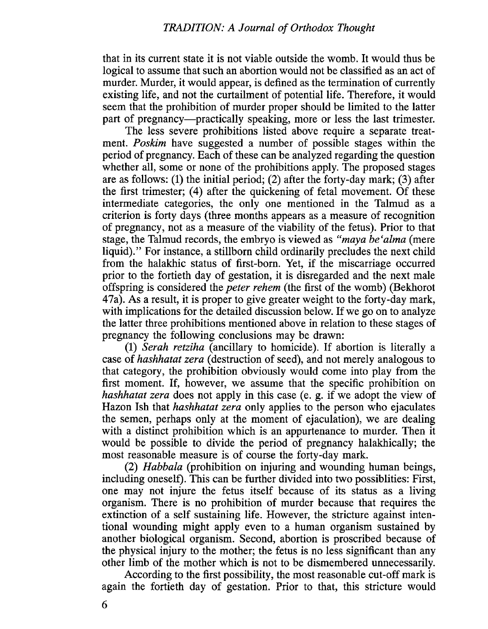that in its current state it is not viable outside the womb. It would thus be logical to assume that such an abortion would not be classified as an act of murder. Murder, it would appear, is defined as the termination of currently existing life, and not the curtailment of potential life. Therefore, it would seem that the prohibition of murder proper should be limited to the latter part of pregnancy—practically speaking, more or less the last trimester.

The less severe prohibitions listed above require a separate treatment. Poskim have suggested a number of possible stages within the period of pregnancy. Each of these can be analyzed regarding the question whether all, some or none of the prohibitions apply. The proposed stages are as follows: (1) the initial period; (2) after the forty-day mark; (3) after the first trimester; (4) after the quickening of fetal movement. Of these intermediate categories, the only one mentioned in the Talmud as a criterion is forty days (three months appears as a measure of recognition of pregnancy, not as a measure of the viability of the fetus). Prior to that stage, the Talmud records, the embryo is viewed as "maya be'alma (mere liquid)." For instance, a stillborn child ordinarily precludes the next child from the halakhic status of first-born. Yet, if the miscarriage occurred prior to the fortieth day of gestation, it is disregarded and the next male offspring is considered the peter rehem (the first of the womb) (Bekhorot 47a). As a result, it is proper to give greater weight to the forty-day mark, with implications for the detailed discussion below. If we go on to analyze the latter three prohibitions mentioned above in relation to these stages of pregnancy the following conclusions may be drawn:

(1) Serah retziha (ancillary to homicide). If abortion is literally a case of hashhatat zera (destruction of seed), and not merely analogous to that category, the prohibition obviously would come into play from the first moment. If, however, we assume that the specific prohibition on hashhatat zera does not apply in this case (e. g. if we adopt the view of Hazon Ish that hashhatat zera only applies to the person who ejaculates the semen, perhaps only at the moment of ejaculation), we are dealing with a distinct prohibition which is an appurtenance to murder. Then it would be possible to divide the period of pregnancy halakhically; the most reasonable measure is of course the forty-day mark.

(2) Habbala (prohibition on injuring and wounding human beings, including oneself). This can be further divided into two possiblities: First, one may not injure the fetus itself because of its status as a living organism. There is no prohibition of murder because that requires the extinction of a self sustaining life. However, the stricture against intentional wounding might apply even to a human organism sustained by another biological organism. Second, abortion is proscribed because of the physical injury to the mother; the fetus is no less significant than any other limb of the mother which is not to be dismembered unnecessarily.

According to the first possibility, the most reasonable cut-off mark is again the fortieth day of gestation. Prior to that, this stricture would

6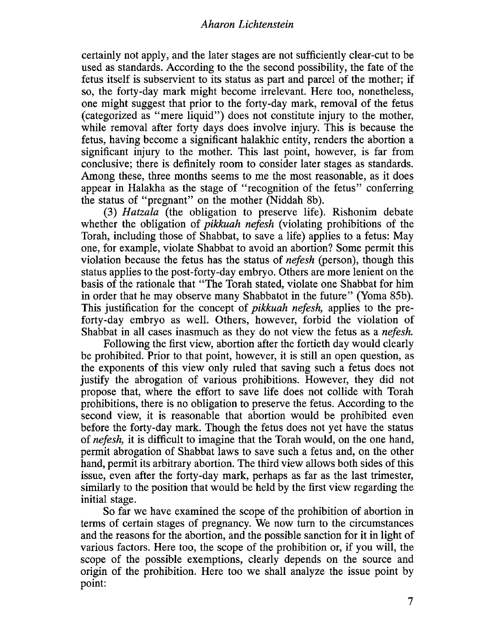## Aharon Lichtenstein

certainly not apply, and the later stages are not sufficiently clear-cut to be used as standards. According to the the second possibility, the fate of the fetus itself is subservient to its status as part and parcel of the mother; if so, the forty-day mark might become irrelevant. Here too, nonetheless, one might suggest that prior to the forty-day mark, removal of the fetus (categorized as "mere liquid") does not constitute injury to the mother, while removal after forty days does involve injury. This is because the fetus, having become a significant halakhic entity, renders the abortion a significant injury to the mother. This last point, however, is far from conclusive; there is definitely room to consider later stages as standards. Among these, three months seems to me the most reasonable, as it does appear in Halakha as the stage of "recognition of the fetus" conferring the status of "pregnant" on the mother (Niddah 8b).

(3) Hatzala (the obligation to preserve life). Rishonim debate whether the obligation of *pikkuah nefesh* (violating prohibitions of the Torah, including those of Shabbat, to save a life) applies to a fetus: May one, for example, violate Shabbat to avoid an abortion? Some permit this violation because the fetus has the status of nefesh (person), though this status applies to the post-forty-day embryo. Others are more lenient on the basis of the rationale that "The Torah stated, violate one Shabbat for him in order that he may observe many Shabbatot in the future" (Yoma 85b). This justification for the concept of pikkuah nefesh, applies to the preforty-day embryo as well. Others, however, forbid the violation of Shabbat in all cases inasmuch as they do not view the fetus as a nefesh.

Following the first view, abortion after the fortieth day would clearly be prohibited. Prior to that point, however, it is still an open question, as the exponents of this view only ruled that saving such a fetus does not justify the abrogation of various prohibitions. However, they did not propose that, where the effort to save life does not collide with Torah prohibitions, there is no obligation to preserve the fetus. According to the second view, it is reasonable that abortion would be prohibited even before the forty-day mark. Though the fetus does not yet have the status of nefesh, it is diffcult to imagine that the Torah would, on the one hand, permit abrogation of Shabbat laws to save such a fetus and, on the other hand, permit its arbitrary abortion. The third view allows both sides of this issue, even after the forty-day mark, perhaps as far as the last trimester, similarly to the position that would be held by the first view regarding the initial stage.

So far we have examined the scope of the prohibition of abortion in terms of certain stages of pregnancy. We now turn to the circumstances and the reasons for the abortion, and the possible sanction for it in light of various factors. Here too, the scope of the prohibition or, if you will, the scope of the possible exemptions, clearly depends on the source and origin of the prohibition. Here too we shall analyze the issue point by point: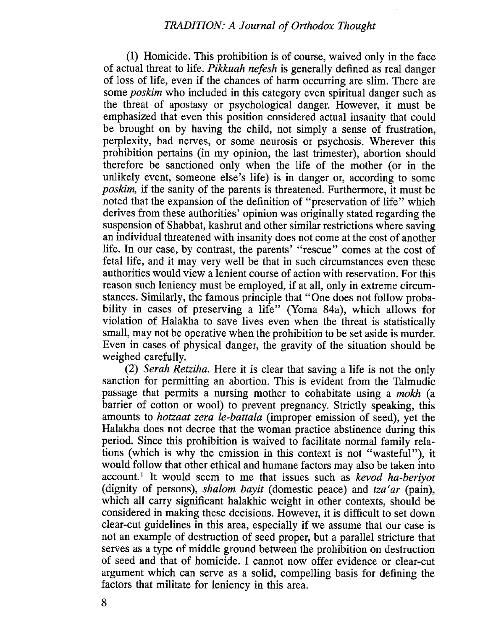(1) Homicide. This prohibition is of course, waived only in the face of actual threat to life. Pikkuah nefesh is generally defined as real danger of loss of life, even if the chances of harm occurring are slim. There are some poskim who included in this category even spiritual danger such as the threat of apostasy or psychological danger. However, it must be emphasized that even this position considered actual insanity that could be brought on by having the child, not simply a sense of frustration, perplexity, bad nerves, or some neurosis or psychosis. Wherever this prohibition pertains (in my opinion, the last trimester), abortion should therefore be sanctioned only when the life of the mother (or in the unlikely event, someone else's life) is in danger or, according to some poskim, if the sanity of the parents is threatened. Furthermore, it must be noted that the expansion of the definition of "preservation of life" which derives from these authorities' opinion was originally stated regarding the suspension of Shabbat, kashrut and other similar restrictions where saving an individual threatened with insanity does not come at the cost of another life. In our case, by contrast, the parents' "rescue" comes at the cost of fetal life, and it may very well be that in such circumstances even these authorities would view a lenient course of action with reservation. For this reason such leniency must be employed, if at all, only in extreme circumstances. Similarly, the famous principle that "One does not follow probability in cases of preserving a life" (Yoma 84a), which allows for violation of Halakha to save lives even when the threat is statistically small, may not be operative when the prohibition to be set aside is murder. Even in cases of physical danger, the gravity of the situation should be weighed carefully.

(2) Serah Retziha. Here it is clear that saving a life is not the only sanction for permitting an abortion. This is evident from the Talmudic passage that permits a nursing mother to cohabitate using a mokh (a barrier of cotton or wool) to prevent pregnancy. Strictly speaking, this amounts to *hotzaat zera le-battala* (improper emission of seed), yet the Halakha does not decree that the woman practice abstinence during this period. Since this prohibition is waived to facilitate normal family relations (which is why the emission in this context is not "wasteful"), it would follow that other ethical and humane factors may also be taken into account.1 It would seem to me that issues such as kevod ha-beriyot (dignity of persons), shalom bayit (domestic peace) and tza'ar (pain), which all carry significant halakhic weight in other contexts, should be considered in making these decisions. However, it is diffcult to set down clear-cut guidelines in this area, especially if we assume that our case is not an example of destruction of seed proper, but a parallel stricture that serves as a type of middle ground between the prohibition on destruction of seed and that of homicide. I cannot now offer evidence or clear-cut argument which can serve as a solid, compelling basis for defining the factors that militate for leniency in this area.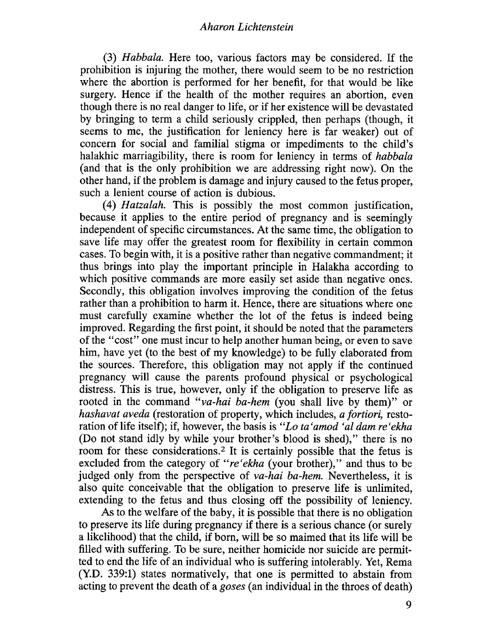(3) Habbala. Here too, various factors may be considered. If the prohibition is injuring the mother, there would seem to be no restriction where the abortion is performed for her benefit, for that would be like surgery. Hence if the health of the mother requires an abortion, even though there is no real danger to life, or if her existence will be devastated by bringing to term a child seriously crippled, then perhaps (though, it seems to me, the justification for leniency here is far weaker) out of concern for social and familial stigma or impediments to the child's halakhic marriagibility, there is room for leniency in terms of habbala (and that is the only prohibition we are addressing right now). On the other hand, if the problem is damage and injury caused to the fetus proper, such a lenient course of action is dubious.

(4) Hatzalah. This is possibly the most common justification, because it applies to the entire period of pregnancy and is seemingly independent of specific circumstances. At the same time, the obligation to save life may offer the greatest room for flexibility in certain common cases. To begin with, it is a positive rather than negative commandment; it thus brings into play the important principle in Halakha according to which positive commands are more easily set aside than negative ones. Secondly, this obligation involves improving the condition of the fetus rather than a prohibition to harm it. Hence, there are situations where one must carefully examine whether the lot of the fetus is indeed being improved. Regarding the first point, it should be noted that the parameters of the "cost" one must incur to help another human being, or even to save him, have yet (to the best of my knowledge) to be fully elaborated from the sources. Therefore, this obligation may not apply if the continued pregnancy will cause the parents profound physical or psychological distress. This is true, however, only if the obligation to preserve life as rooted in the command "va-hai ba-hem (you shall live by them)" or hashavat aveda (restoration of property, which includes, a fortiori, restoration of life itself); if, however, the basis is "Lo ta'amod 'al dam re'ekha (Do not stand idly by while your brother's blood is shed)," there is no room for these considerations.2 It is certainly possible that the fetus is excluded from the category of "re'ekha (your brother)," and thus to be judged only from the perspective of va-hai ba-hem. Nevertheless, it is also quite conceivable that the obligation to preserve life is unlimited, extending to the fetus and thus closing off the possibility of leniency.

As to the welfare of the baby, it is possible that there is no obligation to preserve its life during pregnancy if there is a serious chance (or surely a likelihood) that the child, if born, will be so maimed that its life will be filled with suffering. To be sure, neither homicide nor suicide are permitted to end the life of an individual who is suffering intolerably. Yet, Rema (Y.D. 339:1) states normatively, that one is permitted to abstain from acting to prevent the death of a goses (an individual in the throes of death)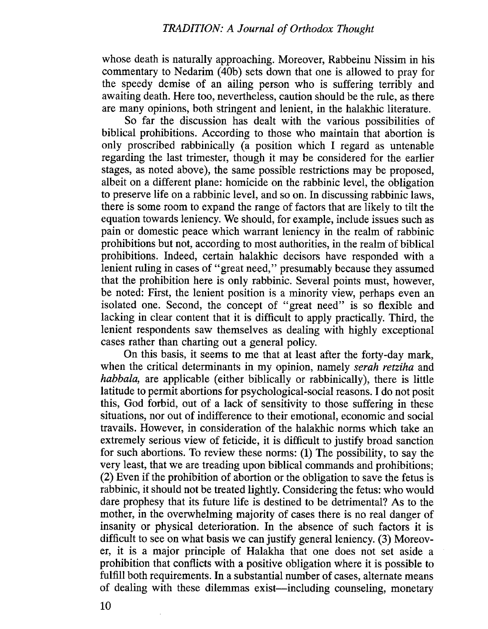whose death is naturally approaching. Moreover, Rabbeinu Nissim in his commentary to Nedarim (40b) sets down that one is allowed to pray for the speedy demise of an ailing person who is suffering terribly and awaiting death. Here too, nevertheless, caution should be the rule, as there are many opinions, both stringent and lenient, in the halakhic literature.

So far the discussion has dealt with the various possibilities of biblical prohibitions. According to those who maintain that abortion is only proscribed rabbinically (a position which I regard as untenable regarding the last trimester, though it may be considered for the earlier stages, as noted above), the same possible restrictions may be proposed, albeit on a different plane: homicide on the rabbinic level, the obligation to preserve life on a rabbinic level, and so on. In discussing rabbinic laws, there is some room to expand the range of factors that are likely to tilt the equation towards leniency. We should, for example, include issues such as pain or domestic peace which warrant leniency in the realm of rabbinic prohibitions but not, according to most authorities, in the realm of biblical prohibitions. Indeed, certain halakhic decisors have responded with a lenient ruling in cases of "great need," presumably because they assumed that the prohibition here is only rabbinic. Several points must, however, be noted: First, the lenient position is a minority view, perhaps even an isolated one. Second, the concept of "great need" is so flexible and lacking in clear content that it is difficult to apply practically. Third, the lenient respondents saw themselves as dealing with highly exceptional cases rather than charting out a general policy.

On this basis, it seems to me that at least after the forty-day mark, when the critical determinants in my opinion, namely serah retziha and habbala, are applicable (either biblically or rabbinically), there is little latitude to permit abortions for psychological-social reasons. I do not posit this, God forbid, out of a lack of sensitivity to those suffering in these situations, nor out of indifference to their emotional, economic and social travails. However, in consideration of the halakhic norms which take an extremely serious view of feticide, it is diffcult to justify broad sanction for such abortions. To review these norms: (1) The possibility, to say the very least, that we are treading upon biblical commands and prohibitions; (2) Even if the prohibition of abortion or the obligation to save the fetus is rabbinic, it should not be treated lightly. Considering the fetus: who would dare prophesy that its future life is destined to be detrimental? As to the mother, in the overwhelming majority of cases there is no real danger of insanity or physical deterioration. In the absence of such factors it is difficult to see on what basis we can justify general leniency. (3) Moreover, it is a major principle of Halakha that one does not set aside a prohibition that conflicts with a positive obligation where it is possible to fulfill both requirements. In a substantial number of cases, alternate means of dealing with these dilemmas exist—including counseling, monetary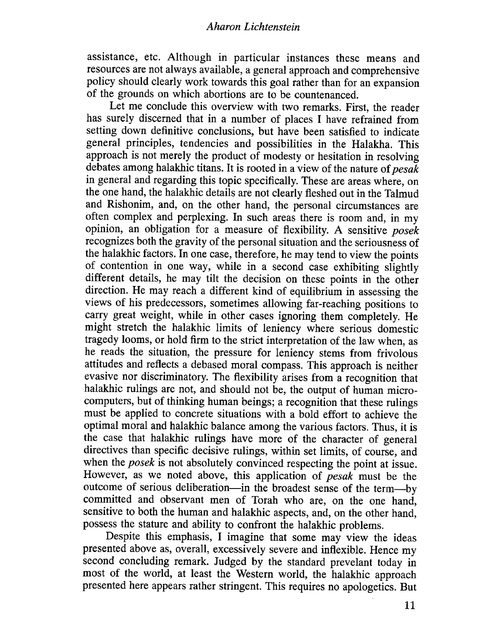assistance, etc. Although in particular instances these means and resources are not always available, a general approach and comprehensive policy should clearly work towards this goal rather than for an expansion of the grounds on which abortions are to be countenanced.

Let me conclude this overview with two remarks. First, the reader has surely discerned that in a number of places I have refrained from setting down definitive conclusions, but have been satisfied to indicate general principles, tendencies and possibilities in the Halakha. This approach is not merely the product of modesty or hesitation in resolving debates among halakhic titans. It is rooted in a view of the nature of  $pesa\vec{k}$ in general and regarding this topic specifically. These are areas where, on the one hand, the halakhic details are not clearly fleshed out in the Talmud and Rishonim, and, on the other hand, the personal circumstances are often complex and perplexing. In such areas there is room and, in my opinion, an obligation for a measure of flexibility. A sensitive posek recognizes both the gravity of the personal situation and the seriousness of the halakhic factors. In one case, therefore, he may tend to view the points of contention in one way, while in a second case exhibiting slightly different details, he may tilt the decision on these points in the other direction. He may reach a different kind of equilibrium in assessing the views of his predecessors, sometimes allowing far-reaching positions to carry great weight, while in other cases ignoring them completely. He might stretch the halakhic limits of leniency where serious domestic tragedy looms, or hold firm to the strict interpretation of the law when, as he reads the situation, the pressure for leniency stems from frivolous attitudes and reflects a debased moral compass. This approach is neither evasive nor discriminatory. The flexibility arises from a recognition that halakhic rulings are not, and should not be, the output of human microcomputers, but of thinking human beings; a recognition that these rulings must be applied to concrete situations with a bold effort to achieve the optimal moral and halakhic balance among the various factors. Thus, it is the case that halakhic rulings have more of the character of general directives than specific decisive rulings, within set limits, of course, and when the *posek* is not absolutely convinced respecting the point at issue. However, as we noted above, this application of *pesak* must be the outcome of serious deliberation-in the broadest sense of the term-by committed and observant men of Torah who are, on the one hand, sensitive to both the human and halakhic aspects, and, on the other hand, possess the stature and ability to confront the halakhic problems.

Despite this emphasis, I imagine that some may view the ideas presented above as, overall, excessively severe and inflexible. Hence my second concluding remark. Judged by the standard prevelant today in most of the world, at least the Western world, the halakhic approach presented here appears rather stringent. This requires no apologetics. But